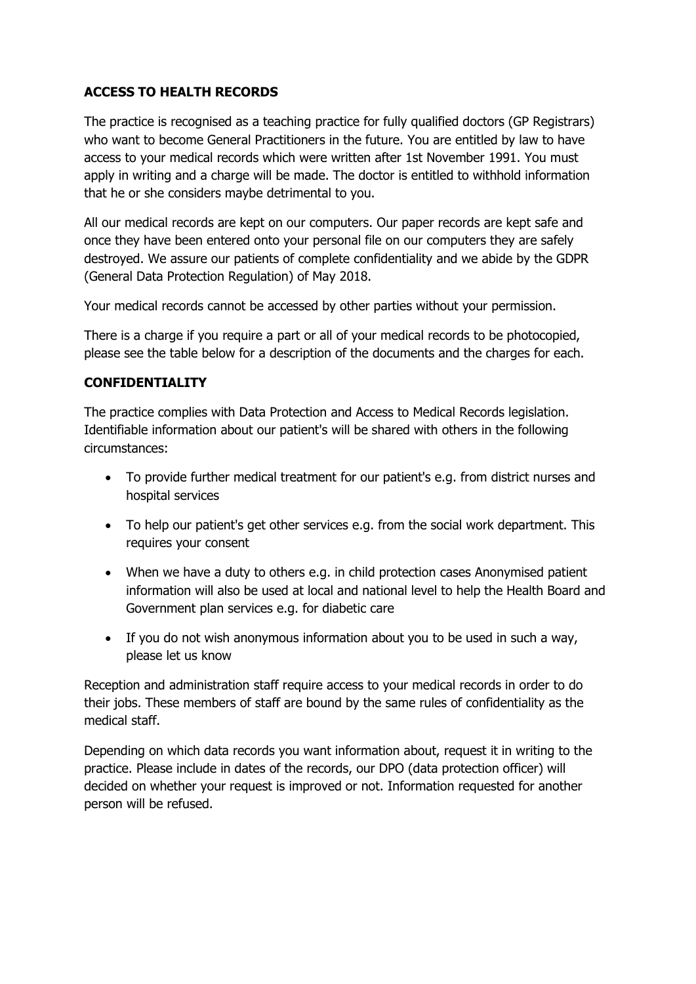# **ACCESS TO HEALTH RECORDS**

The practice is recognised as a teaching practice for fully qualified doctors (GP Registrars) who want to become General Practitioners in the future. You are entitled by law to have access to your medical records which were written after 1st November 1991. You must apply in writing and a charge will be made. The doctor is entitled to withhold information that he or she considers maybe detrimental to you.

All our medical records are kept on our computers. Our paper records are kept safe and once they have been entered onto your personal file on our computers they are safely destroyed. We assure our patients of complete confidentiality and we abide by the GDPR (General Data Protection Regulation) of May 2018.

Your medical records cannot be accessed by other parties without your permission.

There is a charge if you require a part or all of your medical records to be photocopied, please see the table below for a description of the documents and the charges for each.

### **CONFIDENTIALITY**

The practice complies with Data Protection and Access to Medical Records legislation. Identifiable information about our patient's will be shared with others in the following circumstances:

- To provide further medical treatment for our patient's e.g. from district nurses and hospital services
- To help our patient's get other services e.g. from the social work department. This requires your consent
- When we have a duty to others e.g. in child protection cases Anonymised patient information will also be used at local and national level to help the Health Board and Government plan services e.g. for diabetic care
- If you do not wish anonymous information about you to be used in such a way, please let us know

Reception and administration staff require access to your medical records in order to do their jobs. These members of staff are bound by the same rules of confidentiality as the medical staff.

Depending on which data records you want information about, request it in writing to the practice. Please include in dates of the records, our DPO (data protection officer) will decided on whether your request is improved or not. Information requested for another person will be refused.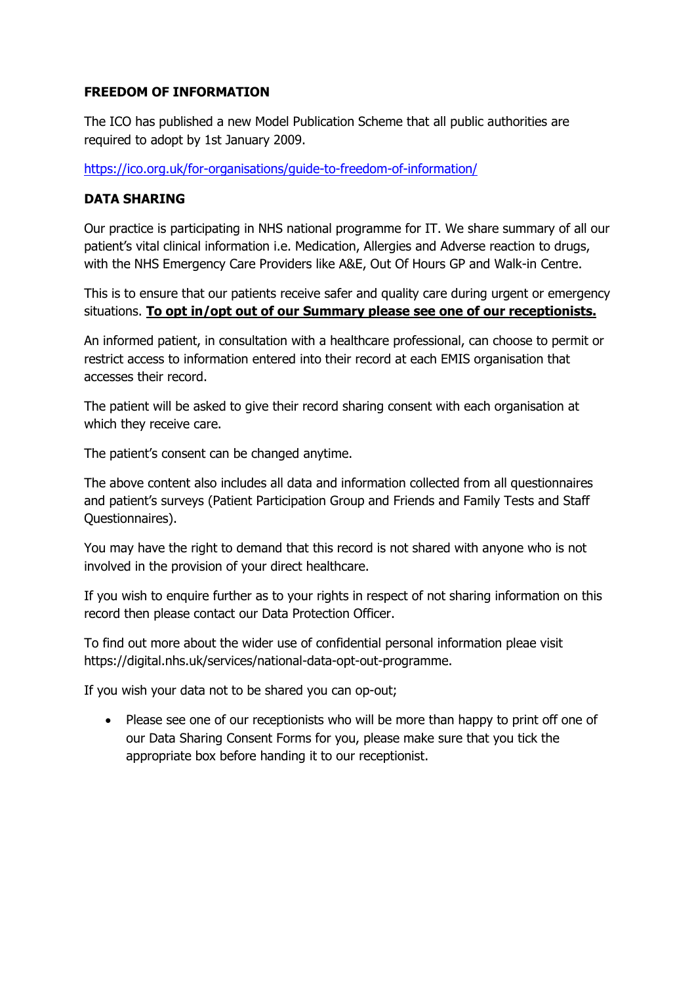### **FREEDOM OF INFORMATION**

The ICO has published a new Model Publication Scheme that all public authorities are required to adopt by 1st January 2009.

<https://ico.org.uk/for-organisations/guide-to-freedom-of-information/>

# **DATA SHARING**

Our practice is participating in NHS national programme for IT. We share summary of all our patient's vital clinical information i.e. Medication, Allergies and Adverse reaction to drugs, with the NHS Emergency Care Providers like A&E, Out Of Hours GP and Walk-in Centre.

This is to ensure that our patients receive safer and quality care during urgent or emergency situations. **To opt in/opt out of our Summary please see one of our receptionists.**

An informed patient, in consultation with a healthcare professional, can choose to permit or restrict access to information entered into their record at each EMIS organisation that accesses their record.

The patient will be asked to give their record sharing consent with each organisation at which they receive care.

The patient's consent can be changed anytime.

The above content also includes all data and information collected from all questionnaires and patient's surveys (Patient Participation Group and Friends and Family Tests and Staff Questionnaires).

You may have the right to demand that this record is not shared with anyone who is not involved in the provision of your direct healthcare.

If you wish to enquire further as to your rights in respect of not sharing information on this record then please contact our Data Protection Officer.

To find out more about the wider use of confidential personal information pleae visit https://digital.nhs.uk/services/national-data-opt-out-programme.

If you wish your data not to be shared you can op-out;

• Please see one of our receptionists who will be more than happy to print off one of our Data Sharing Consent Forms for you, please make sure that you tick the appropriate box before handing it to our receptionist.